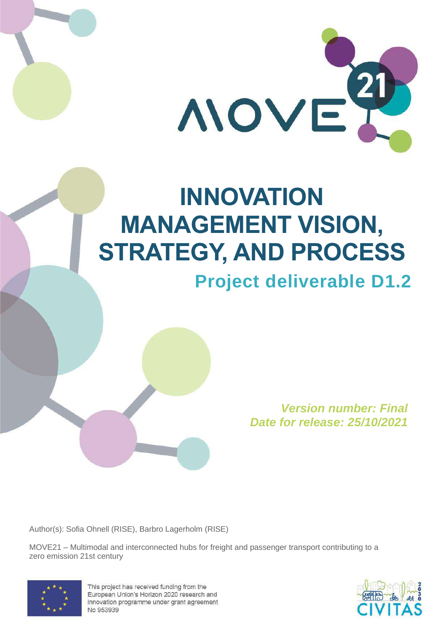

# **INNOVATION MANAGEMENT VISION, STRATEGY, AND PROCESS Project deliverable D1.2**

*Version number: Final Date for release: 25/10/2021*

Author(s): Sofia Ohnell (RISE), Barbro Lagerholm (RISE)

MOVE21 – Multimodal and interconnected hubs for freight and passenger transport contributing to a zero emission 21st century



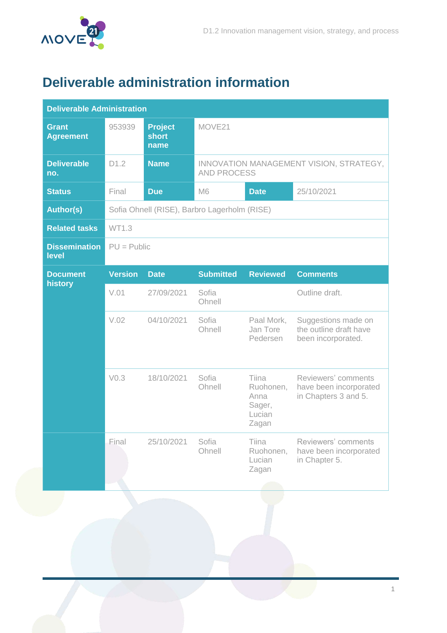

## <span id="page-1-0"></span>**Deliverable administration information**

| <b>Deliverable Administration</b> |                  |                                        |                                                               |                                                         |                                                                       |  |
|-----------------------------------|------------------|----------------------------------------|---------------------------------------------------------------|---------------------------------------------------------|-----------------------------------------------------------------------|--|
| Grant<br><b>Agreement</b>         | 953939           | <b>Project</b><br><b>short</b><br>name | MOVE21                                                        |                                                         |                                                                       |  |
| <b>Deliverable</b><br>no.         | D1.2             | <b>Name</b>                            | INNOVATION MANAGEMENT VISION, STRATEGY,<br><b>AND PROCESS</b> |                                                         |                                                                       |  |
| <b>Status</b>                     | Final            | <b>Due</b>                             | 25/10/2021<br>M <sub>6</sub><br><b>Date</b>                   |                                                         |                                                                       |  |
| <b>Author(s)</b>                  |                  |                                        | Sofia Ohnell (RISE), Barbro Lagerholm (RISE)                  |                                                         |                                                                       |  |
| <b>Related tasks</b>              | WT1.3            |                                        |                                                               |                                                         |                                                                       |  |
| <b>Dissemination</b><br>level     | $PU = Public$    |                                        |                                                               |                                                         |                                                                       |  |
| <b>Document</b><br>history        | <b>Version</b>   | <b>Date</b>                            | <b>Submitted</b>                                              | <b>Reviewed</b>                                         | <b>Comments</b>                                                       |  |
|                                   | V.01             | 27/09/2021                             | Sofia<br>Ohnell                                               |                                                         | Outline draft.                                                        |  |
|                                   | V.02             | 04/10/2021                             | Sofia<br>Ohnell                                               | Paal Mork,<br>Jan Tore<br>Pedersen                      | Suggestions made on<br>the outline draft have<br>been incorporated.   |  |
|                                   | V <sub>0.3</sub> | 18/10/2021                             | Sofia<br>Ohnell                                               | Tiina<br>Ruohonen,<br>Anna<br>Sager,<br>Lucian<br>Zagan | Reviewers' comments<br>have been incorporated<br>in Chapters 3 and 5. |  |
|                                   | Final            | 25/10/2021                             | Sofia<br>Ohnell                                               | Tiina<br>Ruohonen,<br>Lucian<br>Zagan                   | Reviewers' comments<br>have been incorporated<br>in Chapter 5.        |  |
|                                   |                  |                                        |                                                               |                                                         |                                                                       |  |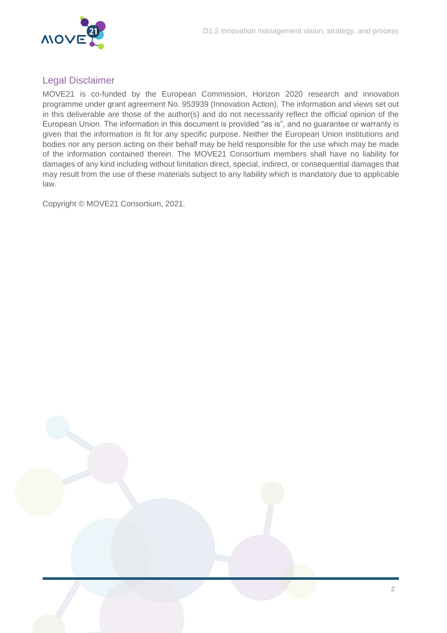

### Legal Disclaimer

MOVE21 is co-funded by the European Commission, Horizon 2020 research and innovation programme under grant agreement No. 953939 (Innovation Action). The information and views set out in this deliverable are those of the author(s) and do not necessarily reflect the official opinion of the European Union. The information in this document is provided "as is", and no guarantee or warranty is given that the information is fit for any specific purpose. Neither the European Union institutions and bodies nor any person acting on their behalf may be held responsible for the use which may be made of the information contained therein. The MOVE21 Consortium members shall have no liability for damages of any kind including without limitation direct, special, indirect, or consequential damages that may result from the use of these materials subject to any liability which is mandatory due to applicable law.

Copyright © MOVE21 Consortium, 2021.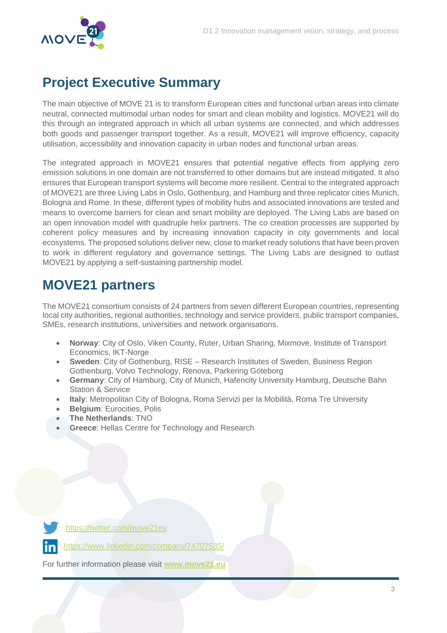

### <span id="page-3-0"></span>**Project Executive Summary**

The main objective of MOVE 21 is to transform European cities and functional urban areas into climate neutral, connected multimodal urban nodes for smart and clean mobility and logistics. MOVE21 will do this through an integrated approach in which all urban systems are connected, and which addresses both goods and passenger transport together. As a result, MOVE21 will improve efficiency, capacity utilisation, accessibility and innovation capacity in urban nodes and functional urban areas.

The integrated approach in MOVE21 ensures that potential negative effects from applying zero emission solutions in one domain are not transferred to other domains but are instead mitigated. It also ensures that European transport systems will become more resilient. Central to the integrated approach of MOVE21 are three Living Labs in Oslo, Gothenburg, and Hamburg and three replicator cities Munich, Bologna and Rome. In these, different types of mobility hubs and associated innovations are tested and means to overcome barriers for clean and smart mobility are deployed. The Living Labs are based on an open innovation model with quadruple helix partners. The co creation processes are supported by coherent policy measures and by increasing innovation capacity in city governments and local ecosystems. The proposed solutions deliver new, close to market ready solutions that have been proven to work in different regulatory and governance settings. The Living Labs are designed to outlast MOVE21 by applying a self-sustaining partnership model.

### <span id="page-3-1"></span>**MOVE21 partners**

The MOVE21 consortium consists of 24 partners from seven different European countries, representing local city authorities, regional authorities, technology and service providers, public transport companies, SMEs, research institutions, universities and network organisations.

- **Norway**: City of Oslo, Viken County, Ruter, Urban Sharing, Mixmove, Institute of Transport Economics, IKT-Norge
- **Sweden**: City of Gothenburg, RISE Research Institutes of Sweden, Business Region Gothenburg, Volvo Technology, Renova, Parkering Göteborg
- **Germany**: City of Hamburg, City of Munich, Hafencity University Hamburg, Deutsche Bahn Station & Service
- **Italy**: Metropolitan City of Bologna, Roma Servizi per la Mobilità, Roma Tre University
- **Belgium**: Eurocities, Polis
- **The Netherlands**: TNO
- **Greece**: Hellas Centre for Technology and Research

<https://twitter.com/move21eu>

<https://www.linkedin.com/company/74707535/>

For further information please visit **[www.move21.eu](http://www.move21.eu/)**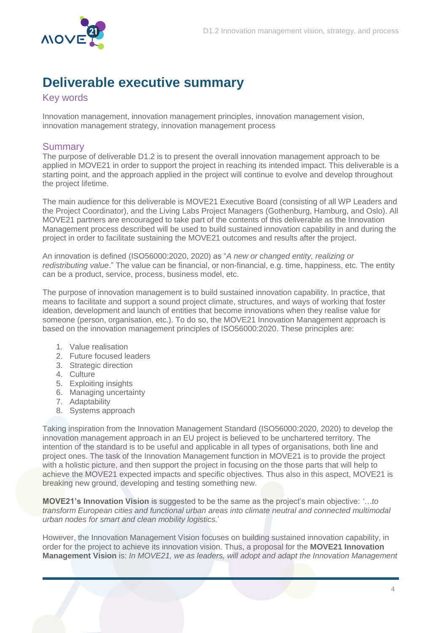

### <span id="page-4-0"></span>**Deliverable executive summary**

<span id="page-4-1"></span>Key words

Innovation management, innovation management principles, innovation management vision, innovation management strategy, innovation management process

#### <span id="page-4-2"></span>**Summary**

The purpose of deliverable D1.2 is to present the overall innovation management approach to be applied in MOVE21 in order to support the project in reaching its intended impact. This deliverable is a starting point, and the approach applied in the project will continue to evolve and develop throughout the project lifetime.

The main audience for this deliverable is MOVE21 Executive Board (consisting of all WP Leaders and the Project Coordinator), and the Living Labs Project Managers (Gothenburg, Hamburg, and Oslo). All MOVE21 partners are encouraged to take part of the contents of this deliverable as the Innovation Management process described will be used to build sustained innovation capability in and during the project in order to facilitate sustaining the MOVE21 outcomes and results after the project.

An innovation is defined (ISO56000:2020, 2020) as "*A new or changed entity, realizing or redistributing value*." The value can be financial, or non-financial, e.g. time, happiness, etc. The entity can be a product, service, process, business model, etc.

The purpose of innovation management is to build sustained innovation capability. In practice, that means to facilitate and support a sound project climate, structures, and ways of working that foster ideation, development and launch of entities that become innovations when they realise value for someone (person, organisation, etc.). To do so, the MOVE21 Innovation Management approach is based on the innovation management principles of ISO56000:2020. These principles are:

- 1. Value realisation
- 2. Future focused leaders
- 3. Strategic direction
- 4. Culture
- 5. Exploiting insights
- 6. Managing uncertainty
- 7. Adaptability
- 8. Systems approach

Taking inspiration from the Innovation Management Standard (ISO56000:2020, 2020) to develop the innovation management approach in an EU project is believed to be unchartered territory. The intention of the standard is to be useful and applicable in all types of organisations, both line and project ones. The task of the Innovation Management function in MOVE21 is to provide the project with a holistic picture, and then support the project in focusing on the those parts that will help to achieve the MOVE21 expected impacts and specific objectives. Thus also in this aspect, MOVE21 is breaking new ground, developing and testing something new.

**MOVE21's Innovation Vision** is suggested to be the same as the project's main objective: *'…to transform European cities and functional urban areas into climate neutral and connected multimodal urban nodes for smart and clean mobility logistics.*'

However, the Innovation Management Vision focuses on building sustained innovation capability, in order for the project to achieve its innovation vision. Thus, a proposal for the **MOVE21 Innovation Management Vision** is: *In MOVE21, we as leaders, will adopt and adapt the Innovation Management*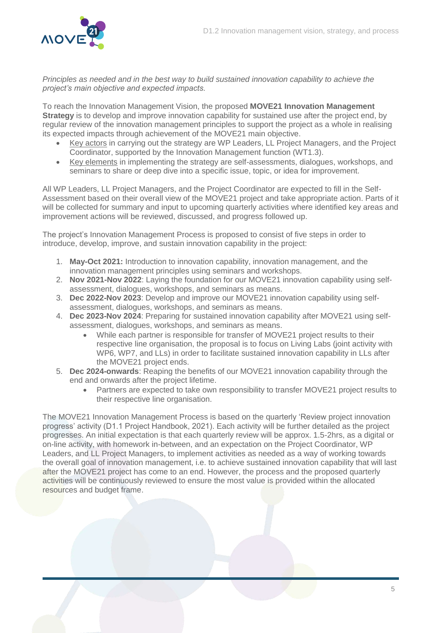

*Principles as needed and in the best way to build sustained innovation capability to achieve the project's main objective and expected impacts.* 

To reach the Innovation Management Vision, the proposed **MOVE21 Innovation Management Strategy** is to develop and improve innovation capability for sustained use after the project end, by regular review of the innovation management principles to support the project as a whole in realising its expected impacts through achievement of the MOVE21 main objective.

- Key actors in carrying out the strategy are WP Leaders, LL Project Managers, and the Project Coordinator, supported by the Innovation Management function (WT1.3).
- Key elements in implementing the strategy are self-assessments, dialogues, workshops, and seminars to share or deep dive into a specific issue, topic, or idea for improvement.

All WP Leaders, LL Project Managers, and the Project Coordinator are expected to fill in the Self-Assessment based on their overall view of the MOVE21 project and take appropriate action. Parts of it will be collected for summary and input to upcoming quarterly activities where identified key areas and improvement actions will be reviewed, discussed, and progress followed up.

The project's Innovation Management Process is proposed to consist of five steps in order to introduce, develop, improve, and sustain innovation capability in the project:

- 1. **May-Oct 2021:** Introduction to innovation capability, innovation management, and the innovation management principles using seminars and workshops.
- 2. **Nov 2021-Nov 2022**: Laying the foundation for our MOVE21 innovation capability using selfassessment, dialogues, workshops, and seminars as means.
- 3. **Dec 2022-Nov 2023**: Develop and improve our MOVE21 innovation capability using selfassessment, dialogues, workshops, and seminars as means.
- 4. **Dec 2023-Nov 2024**: Preparing for sustained innovation capability after MOVE21 using selfassessment, dialogues, workshops, and seminars as means.
	- While each partner is responsible for transfer of MOVE21 project results to their respective line organisation, the proposal is to focus on Living Labs (joint activity with WP6, WP7, and LLs) in order to facilitate sustained innovation capability in LLs after the MOVE21 project ends.
- 5. **Dec 2024-onwards**: Reaping the benefits of our MOVE21 innovation capability through the end and onwards after the project lifetime.
	- Partners are expected to take own responsibility to transfer MOVE21 project results to their respective line organisation.

The MOVE21 Innovation Management Process is based on the quarterly 'Review project innovation progress' activity (D1.1 Project Handbook, 2021). Each activity will be further detailed as the project progresses. An initial expectation is that each quarterly review will be approx. 1.5-2hrs, as a digital or on-line activity, with homework in-between, and an expectation on the Project Coordinator, WP Leaders, and LL Project Managers, to implement activities as needed as a way of working towards the overall goal of innovation management, i.e. to achieve sustained innovation capability that will last after the MOVE21 project has come to an end. However, the process and the proposed quarterly activities will be continuously reviewed to ensure the most value is provided within the allocated resources and budget frame.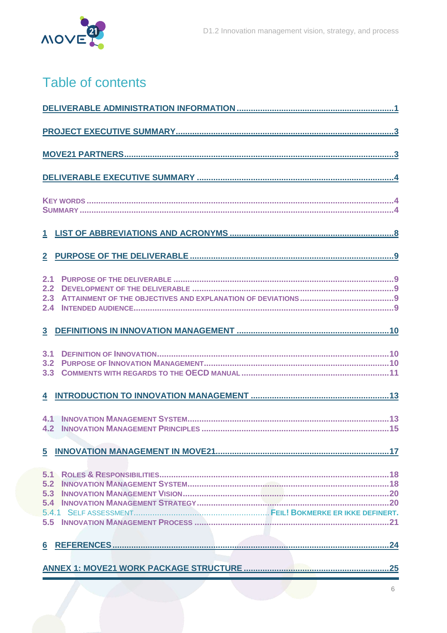

# Table of contents

| 2.1<br>2.2<br>2.3<br>2.4        |  |  |  |  |  |
|---------------------------------|--|--|--|--|--|
| $\mathbf{3}$                    |  |  |  |  |  |
| 3.1<br>3.2<br>3.3               |  |  |  |  |  |
|                                 |  |  |  |  |  |
| $\mathbf{4.1}$<br>4.2           |  |  |  |  |  |
| 5                               |  |  |  |  |  |
| 5.1<br>5.2<br>5.3<br>5.4<br>5.5 |  |  |  |  |  |
| 6                               |  |  |  |  |  |
|                                 |  |  |  |  |  |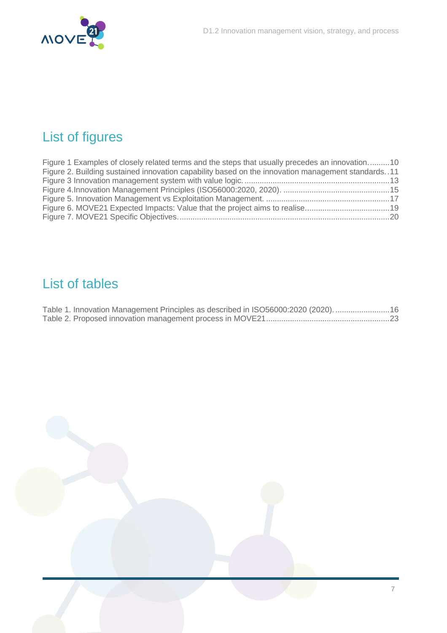

# List of figures

| Figure 1 Examples of closely related terms and the steps that usually precedes an innovation10      |  |
|-----------------------------------------------------------------------------------------------------|--|
| Figure 2. Building sustained innovation capability based on the innovation management standards. 11 |  |
|                                                                                                     |  |
|                                                                                                     |  |
|                                                                                                     |  |
|                                                                                                     |  |
|                                                                                                     |  |

### List of tables

| Table 1. Innovation Management Principles as described in ISO56000:2020 (2020).  16 |  |
|-------------------------------------------------------------------------------------|--|
|                                                                                     |  |

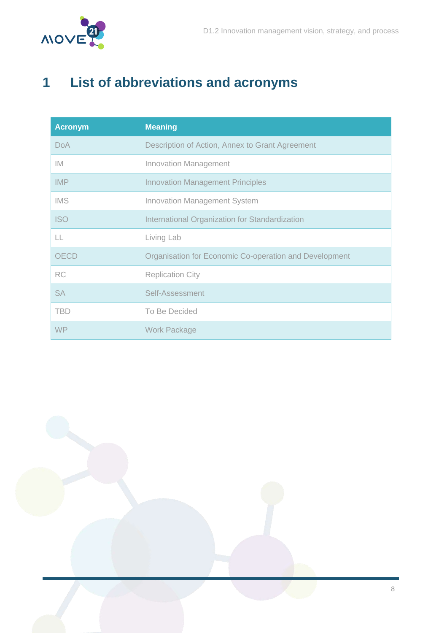

# <span id="page-8-0"></span>**1 List of abbreviations and acronyms**

| <b>Acronym</b> | <b>Meaning</b>                                         |
|----------------|--------------------------------------------------------|
| <b>DoA</b>     | Description of Action, Annex to Grant Agreement        |
| IM.            | <b>Innovation Management</b>                           |
| <b>IMP</b>     | <b>Innovation Management Principles</b>                |
| <b>IMS</b>     | <b>Innovation Management System</b>                    |
| <b>ISO</b>     | International Organization for Standardization         |
| LL             | Living Lab                                             |
| <b>OECD</b>    | Organisation for Economic Co-operation and Development |
| <b>RC</b>      | <b>Replication City</b>                                |
| <b>SA</b>      | Self-Assessment                                        |
| <b>TBD</b>     | To Be Decided                                          |
| <b>WP</b>      | <b>Work Package</b>                                    |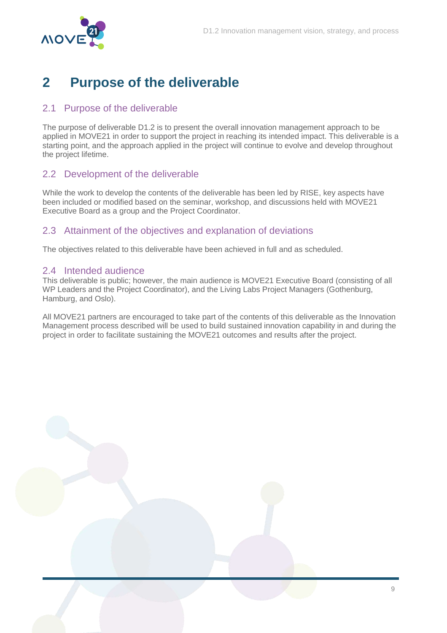

### <span id="page-9-0"></span>**2 Purpose of the deliverable**

### <span id="page-9-1"></span>2.1 Purpose of the deliverable

The purpose of deliverable D1.2 is to present the overall innovation management approach to be applied in MOVE21 in order to support the project in reaching its intended impact. This deliverable is a starting point, and the approach applied in the project will continue to evolve and develop throughout the project lifetime.

### <span id="page-9-2"></span>2.2 Development of the deliverable

While the work to develop the contents of the deliverable has been led by RISE, key aspects have been included or modified based on the seminar, workshop, and discussions held with MOVE21 Executive Board as a group and the Project Coordinator.

### <span id="page-9-3"></span>2.3 Attainment of the objectives and explanation of deviations

The objectives related to this deliverable have been achieved in full and as scheduled.

#### <span id="page-9-4"></span>2.4 Intended audience

This deliverable is public; however, the main audience is MOVE21 Executive Board (consisting of all WP Leaders and the Project Coordinator), and the Living Labs Project Managers (Gothenburg, Hamburg, and Oslo).

All MOVE21 partners are encouraged to take part of the contents of this deliverable as the Innovation Management process described will be used to build sustained innovation capability in and during the project in order to facilitate sustaining the MOVE21 outcomes and results after the project.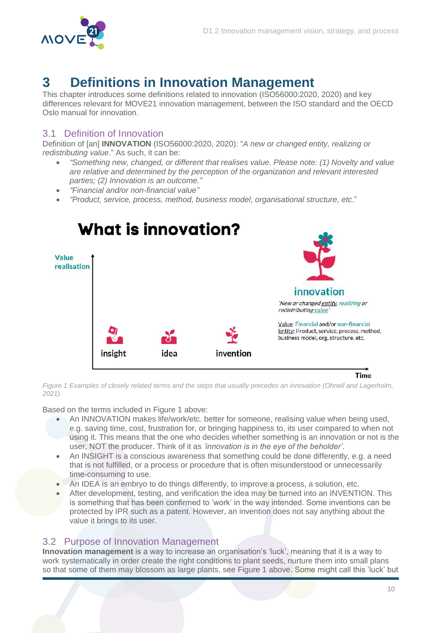

### <span id="page-10-0"></span>**3 Definitions in Innovation Management**

This chapter introduces some definitions related to innovation (ISO56000:2020, 2020) and key differences relevant for MOVE21 innovation management, between the ISO standard and the OECD Oslo manual for innovation.

### <span id="page-10-1"></span>3.1 Definition of Innovation

Definition of [an] **INNOVATION** (ISO56000:2020, 2020): "*A new or changed entity, realizing or redistributing value*." As such, it can be:

- *"Something new, changed, or different that realises value. Please note: (1) Novelty and value are relative and determined by the perception of the organization and relevant interested parties; (2) Innovation is an outcome."*
- *"Financial and/or non-financial value"*
- *"Product, service, process, method, business model, organisational structure, etc*."



**Time** 

<span id="page-10-3"></span>*Figure 1 Examples of closely related terms and the steps that usually precedes an innovation (Ohnell and Lagerholm, 2021).*

Based on the terms included in [Figure 1](#page-10-3) above:

- An INNOVATION makes life/work/etc. better for someone, realising value when being used, e.g. saving time, cost, frustration for, or bringing happiness to, its user compared to when not using it. This means that the one who decides whether something is an innovation or not is the user, NOT the producer. Think of it as *'innovation is in the eye of the beholder'*.
- An INSIGHT is a conscious awareness that something could be done differently, e.g. a need that is not fulfilled, or a process or procedure that is often misunderstood or unnecessarily time-consuming to use.
- An IDEA is an embryo to do things differently, to improve a process, a solution, etc.
- After development, testing, and verification the idea may be turned into an INVENTION. This is something that has been confirmed to 'work' in the way intended. Some inventions can be protected by IPR such as a patent. However, an invention does not say anything about the value it brings to its user.

#### <span id="page-10-2"></span>3.2 Purpose of Innovation Management

**Innovation management** is a way to increase an organisation's 'luck', meaning that it is a way to work systematically in order create the right conditions to plant seeds, nurture them into small plans so that some of them may blossom as large plants, see [Figure 1](#page-10-3) above. Some might call this 'luck' but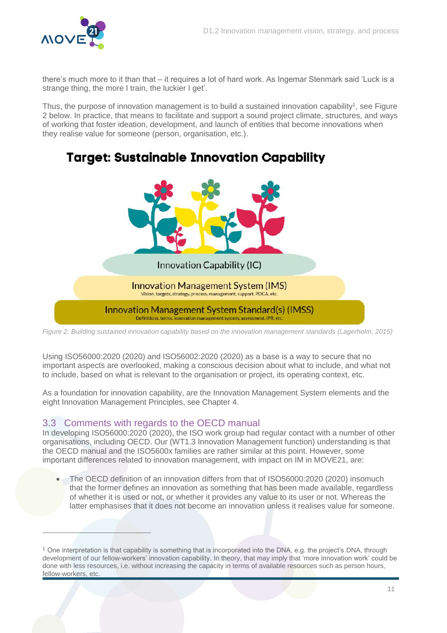

there's much more to it than that – it requires a lot of hard work. As Ingemar Stenmark said 'Luck is a strange thing, the more I train, the luckier I get'.

Thus, the purpose of innovation management is to build a sustained innovation capability<sup>1</sup>, see Figure [2](#page-11-1) below. In practice, that means to facilitate and support a sound project climate, structures, and ways of working that foster ideation, development, and launch of entities that become innovations when they realise value for someone (person, organisation, etc.).

### **Target: Sustainable Innovation Capability**



<span id="page-11-1"></span>*Figure 2. Building sustained innovation capability based on the innovation management standards (Lagerholm, 2015)*

Using ISO56000:2020 (2020) and ISO56002:2020 (2020) as a base is a way to secure that no important aspects are overlooked, making a conscious decision about what to include, and what not to include, based on what is relevant to the organisation or project, its operating context, etc.

As a foundation for innovation capability, are the Innovation Management System elements and the eight Innovation Management Principles, see Chapter [4.](#page-13-0)

#### <span id="page-11-0"></span>3.3 Comments with regards to the OECD manual

 $\overline{a}$ 

In developing ISO56000:2020 (2020), the ISO work group had regular contact with a number of other organisations, including OECD. Our (WT1.3 Innovation Management function) understanding is that the OECD manual and the ISO5600x families are rather similar at this point. However, some important differences related to innovation management, with impact on IM in MOVE21, are:

 The OECD definition of an innovation differs from that of ISO56000:2020 (2020) insomuch that the former defines an innovation as something that has been made available, regardless of whether it is used or not, or whether it provides any value to its user or not. Whereas the latter emphasises that it does not become an innovation unless it realises value for someone.

 $1$  One interpretation is that capability is something that is incorporated into the DNA, e.g. the project's DNA, through development of our fellow-workers' innovation capability. In theory, that may imply that 'more innovation work' could be done with less resources, i.e. without increasing the capacity in terms of available resources such as person hours, fellow-workers, etc.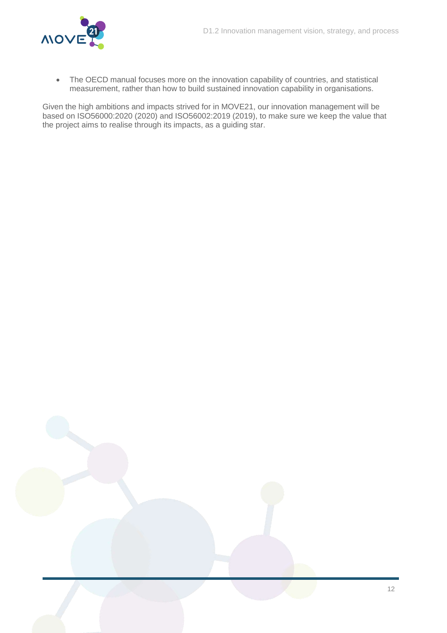

• The OECD manual focuses more on the innovation capability of countries, and statistical measurement, rather than how to build sustained innovation capability in organisations.

Given the high ambitions and impacts strived for in MOVE21, our innovation management will be based on ISO56000:2020 (2020) and ISO56002:2019 (2019), to make sure we keep the value that the project aims to realise through its impacts, as a guiding star.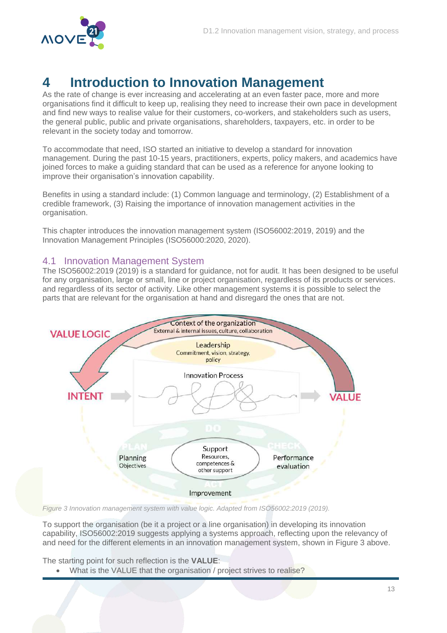

### <span id="page-13-0"></span>**4 Introduction to Innovation Management**

As the rate of change is ever increasing and accelerating at an even faster pace, more and more organisations find it difficult to keep up, realising they need to increase their own pace in development and find new ways to realise value for their customers, co-workers, and stakeholders such as users, the general public, public and private organisations, shareholders, taxpayers, etc. in order to be relevant in the society today and tomorrow.

To accommodate that need, ISO started an initiative to develop a standard for innovation management. During the past 10-15 years, practitioners, experts, policy makers, and academics have joined forces to make a guiding standard that can be used as a reference for anyone looking to improve their organisation's innovation capability.

Benefits in using a standard include: (1) Common language and terminology, (2) Establishment of a credible framework, (3) Raising the importance of innovation management activities in the organisation.

This chapter introduces the innovation management system (ISO56002:2019, 2019) and the Innovation Management Principles (ISO56000:2020, 2020).

#### <span id="page-13-1"></span>4.1 Innovation Management System

The ISO56002:2019 (2019) is a standard for guidance, not for audit. It has been designed to be useful for any organisation, large or small, line or project organisation, regardless of its products or services. and regardless of its sector of activity. Like other management systems it is possible to select the parts that are relevant for the organisation at hand and disregard the ones that are not.



<span id="page-13-2"></span>*Figure 3 Innovation management system with value logic. Adapted from ISO56002:2019 (2019).*

To support the organisation (be it a project or a line organisation) in developing its innovation capability, ISO56002:2019 suggests applying a systems approach, reflecting upon the relevancy of and need for the different elements in an innovation management system, shown in [Figure 3](#page-13-2) above.

The starting point for such reflection is the **VALUE**:

What is the VALUE that the organisation / project strives to realise?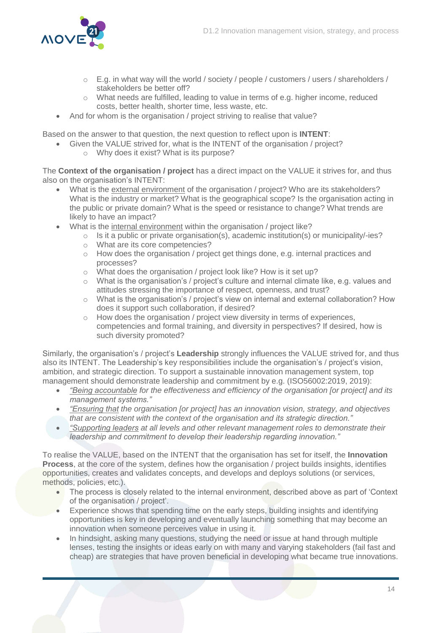

- $\circ$  E.g. in what way will the world / society / people / customers / users / shareholders / stakeholders be better off?
- o What needs are fulfilled, leading to value in terms of e.g. higher income, reduced costs, better health, shorter time, less waste, etc.
- And for whom is the organisation / project striving to realise that value?

Based on the answer to that question, the next question to reflect upon is **INTENT**:

- Given the VALUE strived for, what is the INTENT of the organisation / project?
	- o Why does it exist? What is its purpose?

The **Context of the organisation / project** has a direct impact on the VALUE it strives for, and thus also on the organisation's INTENT:

- What is the external environment of the organisation / project? Who are its stakeholders? What is the industry or market? What is the geographical scope? Is the organisation acting in the public or private domain? What is the speed or resistance to change? What trends are likely to have an impact?
- What is the internal environment within the organisation / project like?
	- $\circ$  Is it a public or private organisation(s), academic institution(s) or municipality/-ies?
	- o What are its core competencies?
	- $\circ$  How does the organisation / project get things done, e.g. internal practices and processes?
	- o What does the organisation / project look like? How is it set up?
	- $\circ$  What is the organisation's / project's culture and internal climate like, e.g. values and attitudes stressing the importance of respect, openness, and trust?
	- o What is the organisation's / project's view on internal and external collaboration? How does it support such collaboration, if desired?
	- o How does the organisation / project view diversity in terms of experiences, competencies and formal training, and diversity in perspectives? If desired, how is such diversity promoted?

Similarly, the organisation's / project's **Leadership** strongly influences the VALUE strived for, and thus also its INTENT. The Leadership's key responsibilities include the organisation's / project's vision, ambition, and strategic direction. To support a sustainable innovation management system, top management should demonstrate leadership and commitment by e.g. (ISO56002:2019, 2019):

- *"Being accountable for the effectiveness and efficiency of the organisation [or project] and its management systems."*
- *"Ensuring that the organisation [or project] has an innovation vision, strategy, and objectives that are consistent with the context of the organisation and its strategic direction."*
- *"Supporting leaders at all levels and other relevant management roles to demonstrate their leadership and commitment to develop their leadership regarding innovation."*

To realise the VALUE, based on the INTENT that the organisation has set for itself, the **Innovation Process**, at the core of the system, defines how the organisation / project builds insights, identifies opportunities, creates and validates concepts, and develops and deploys solutions (or services, methods, policies, etc.).

- The process is closely related to the internal environment, described above as part of 'Context of the organisation / project'.
- Experience shows that spending time on the early steps, building insights and identifying opportunities is key in developing and eventually launching something that may become an innovation when someone perceives value in using it.
- In hindsight, asking many questions, studying the need or issue at hand through multiple lenses, testing the insights or ideas early on with many and varying stakeholders (fail fast and cheap) are strategies that have proven beneficial in developing what became true innovations.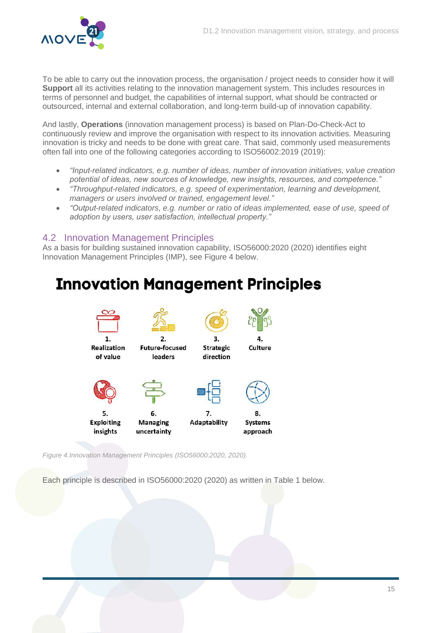

To be able to carry out the innovation process, the organisation / project needs to consider how it will **Support** all its activities relating to the innovation management system. This includes resources in terms of personnel and budget, the capabilities of internal support, what should be contracted or outsourced, internal and external collaboration, and long-term build-up of innovation capability.

And lastly, **Operations** (innovation management process) is based on Plan-Do-Check-Act to continuously review and improve the organisation with respect to its innovation activities. Measuring innovation is tricky and needs to be done with great care. That said, commonly used measurements often fall into one of the following categories according to ISO56002:2019 (2019):

- *"Input-related indicators, e.g. number of ideas, number of innovation initiatives, value creation potential of ideas, new sources of knowledge, new insights, resources, and competence."*
- *"Throughput-related indicators, e.g. speed of experimentation, learning and development, managers or users involved or trained, engagement level."*
- **.** "Output-related indicators, e.g. number or ratio of ideas implemented, ease of use, speed of *adoption by users, user satisfaction, intellectual property."*

#### <span id="page-15-0"></span>4.2 Innovation Management Principles

As a basis for building sustained innovation capability, ISO56000:2020 (2020) identifies eight Innovation Management Principles (IMP), see [Figure 4](#page-15-1) below.

# **Innovation Management Principles**



<span id="page-15-1"></span>*Figure 4.Innovation Management Principles (ISO56000:2020, 2020).*

Each principle is described in ISO56000:2020 (2020) as written in [Table 1](#page-16-0) below.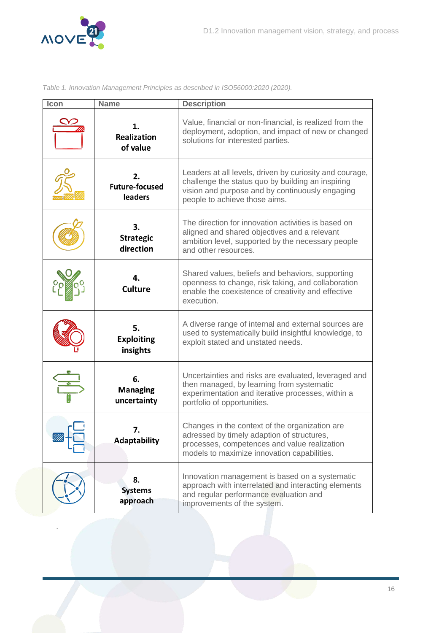

.

<span id="page-16-0"></span>*Table 1. Innovation Management Principles as described in ISO56000:2020 (2020).*

| Icon | <b>Name</b>                                   | <b>Description</b>                                                                                                                                                                               |  |  |  |
|------|-----------------------------------------------|--------------------------------------------------------------------------------------------------------------------------------------------------------------------------------------------------|--|--|--|
|      | 1.<br><b>Realization</b><br>of value          | Value, financial or non-financial, is realized from the<br>deployment, adoption, and impact of new or changed<br>solutions for interested parties.                                               |  |  |  |
|      | 2.<br><b>Future-focused</b><br><b>leaders</b> | Leaders at all levels, driven by curiosity and courage,<br>challenge the status quo by building an inspiring<br>vision and purpose and by continuously engaging<br>people to achieve those aims. |  |  |  |
|      | 3.<br><b>Strategic</b><br>direction           | The direction for innovation activities is based on<br>aligned and shared objectives and a relevant<br>ambition level, supported by the necessary people<br>and other resources.                 |  |  |  |
|      | 4.<br><b>Culture</b>                          | Shared values, beliefs and behaviors, supporting<br>openness to change, risk taking, and collaboration<br>enable the coexistence of creativity and effective<br>execution.                       |  |  |  |
|      | 5.<br><b>Exploiting</b><br>insights           | A diverse range of internal and external sources are<br>used to systematically build insightful knowledge, to<br>exploit stated and unstated needs.                                              |  |  |  |
|      | 6.<br><b>Managing</b><br>uncertainty          | Uncertainties and risks are evaluated, leveraged and<br>then managed, by learning from systematic<br>experimentation and iterative processes, within a<br>portfolio of opportunities.            |  |  |  |
|      | 7.<br><b>Adaptability</b>                     | Changes in the context of the organization are<br>adressed by timely adaption of structures,<br>processes, competences and value realization<br>models to maximize innovation capabilities.      |  |  |  |
|      | 8.<br><b>Systems</b><br>approach              | Innovation management is based on a systematic<br>approach with interrelated and interacting elements<br>and regular performance evaluation and<br>improvements of the system.                   |  |  |  |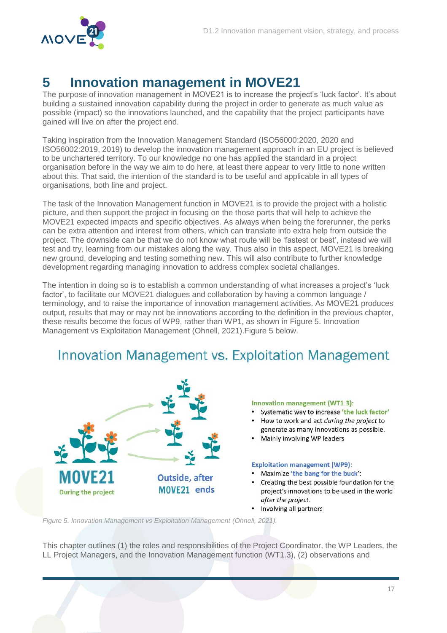

### <span id="page-17-0"></span>**5 Innovation management in MOVE21**

The purpose of innovation management in MOVE21 is to increase the project's 'luck factor'. It's about building a sustained innovation capability during the project in order to generate as much value as possible (impact) so the innovations launched, and the capability that the project participants have gained will live on after the project end.

Taking inspiration from the Innovation Management Standard (ISO56000:2020, 2020 and ISO56002:2019, 2019) to develop the innovation management approach in an EU project is believed to be unchartered territory. To our knowledge no one has applied the standard in a project organisation before in the way we aim to do here, at least there appear to very little to none written about this. That said, the intention of the standard is to be useful and applicable in all types of organisations, both line and project.

The task of the Innovation Management function in MOVE21 is to provide the project with a holistic picture, and then support the project in focusing on the those parts that will help to achieve the MOVE21 expected impacts and specific objectives. As always when being the forerunner, the perks can be extra attention and interest from others, which can translate into extra help from outside the project. The downside can be that we do not know what route will be 'fastest or best', instead we will test and try, learning from our mistakes along the way. Thus also in this aspect, MOVE21 is breaking new ground, developing and testing something new. This will also contribute to further knowledge development regarding managing innovation to address complex societal challanges.

The intention in doing so is to establish a common understanding of what increases a project's 'luck factor', to facilitate our MOVE21 dialogues and collaboration by having a common language / terminology, and to raise the importance of innovation management activities. As MOVE21 produces output, results that may or may not be innovations according to the definition in the previous chapter, these results become the focus of WP9, rather than WP1, as shown in [Figure 5. Innovation](#page-17-1)  [Management vs Exploitation Management](#page-17-1) (Ohnell, 2021)[.Figure 5](#page-17-1) below.

### Innovation Management vs. Exploitation Management



#### Innovation management (WT1.3):

- Systematic way to increase 'the luck factor'
- How to work and act during the project to generate as many innovations as possible.
- Mainly involving WP leaders

#### **Exploitation management (WP9):**

- Maximize 'the bang for the buck':
- Creating the best possible foundation for the project's innovations to be used in the world after the project.
- Involving all partners

<span id="page-17-1"></span>*Figure 5. Innovation Management vs Exploitation Management (Ohnell, 2021).*

This chapter outlines (1) the roles and responsibilities of the Project Coordinator, the WP Leaders, the LL Project Managers, and the Innovation Management function (WT1.3), (2) observations and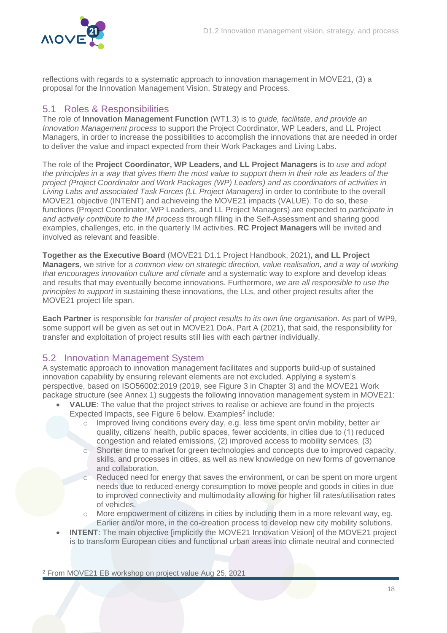

reflections with regards to a systematic approach to innovation management in MOVE21, (3) a proposal for the Innovation Management Vision, Strategy and Process.

### <span id="page-18-0"></span>5.1 Roles & Responsibilities

The role of **Innovation Management Function** (WT1.3) is to *guide, facilitate, and provide an Innovation Management process* to support the Project Coordinator, WP Leaders, and LL Project Managers, in order to increase the possibilities to accomplish the innovations that are needed in order to deliver the value and impact expected from their Work Packages and Living Labs.

The role of the **Project Coordinator, WP Leaders, and LL Project Managers** is to *use and adopt the principles in a way that gives them the most value to support them in their role as leaders of the project (Project Coordinator and Work Packages (WP) Leaders) and as coordinators of activities in Living Labs and associated Task Forces (LL Project Managers)* in order to contribute to the overall MOVE21 objective (INTENT) and achieveing the MOVE21 impacts (VALUE). To do so, these functions (Project Coordinator, WP Leaders, and LL Project Managers) are expected to *participate in and actively contribute to the IM process* through filling in the Self-Assessment and sharing good examples, challenges, etc. in the quarterly IM activities. **RC Project Managers** will be invited and involved as relevant and feasible.

**Together as the Executive Board** (MOVE21 D1.1 Project Handbook, 2021)**, and LL Project Managers***,* we strive for a *common view on strategic direction, value realisation, and a way of working that encourages innovation culture and climate* and a systematic way to explore and develop ideas and results that may eventually become innovations. Furthermore, *we are all responsible to use the principles to support* in sustaining these innovations, the LLs, and other project results after the MOVE21 project life span.

**Each Partner** is responsible for *transfer of project results to its own line organisation*. As part of WP9, some support will be given as set out in MOVE21 DoA, Part A (2021), that said, the responsibility for transfer and exploitation of project results still lies with each partner individually.

#### <span id="page-18-1"></span>5.2 Innovation Management System

A systematic approach to innovation management facilitates and supports build-up of sustained innovation capability by ensuring relevant elements are not excluded. Applying a system's perspective, based on ISO56002:2019 (2019, see [Figure 3](#page-13-2) in Chapter [3\)](#page-10-0) and the MOVE21 Work package structure (see Annex 1) suggests the following innovation management system in MOVE21:

- **VALUE**: The value that the project strives to realise or achieve are found in the projects Expected Impacts, see [Figure 6](#page-19-0) below. Examples<sup>2</sup> include:
	- o Improved living conditions every day, e.g. less time spent on/in mobility, better air quality, citizens' health, public spaces, fewer accidents, in cities due to (1) reduced congestion and related emissions, (2) improved access to mobility services, (3)
	- o Shorter time to market for green technologies and concepts due to improved capacity, skills, and processes in cities, as well as new knowledge on new forms of governance and collaboration.
	- o Reduced need for energy that saves the environment, or can be spent on more urgent needs due to reduced energy consumption to move people and goods in cities in due to improved connectivity and multimodality allowing for higher fill rates/utilisation rates of vehicles.
	- o More empowerment of citizens in cities by including them in a more relevant way, eg. Earlier and/or more, in the co-creation process to develop new city mobility solutions.
- **INTENT:** The main objective [implicitly the MOVE21 Innovation Vision] of the MOVE21 project is to transform European cities and functional urban areas into climate neutral and connected

<sup>2</sup> From MOVE21 EB workshop on project value Aug 25, 2021

 $\overline{a}$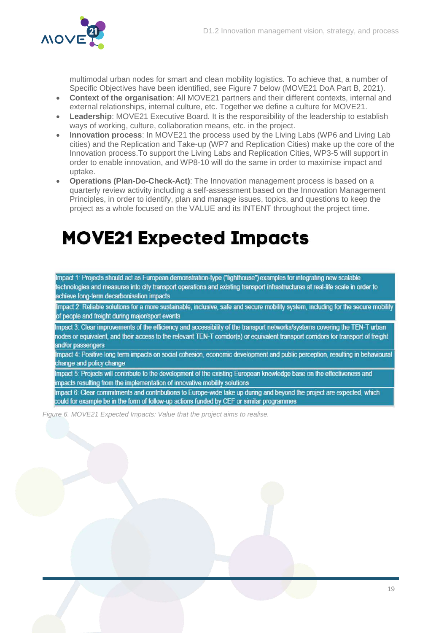

multimodal urban nodes for smart and clean mobility logistics. To achieve that, a number of Specific Objectives have been identified, see [Figure 7](#page-20-2) below (MOVE21 DoA Part B, 2021).

- **Context of the organisation**: All MOVE21 partners and their different contexts, internal and external relationships, internal culture, etc. Together we define a culture for MOVE21.
- **Leadership**: MOVE21 Executive Board. It is the responsibility of the leadership to establish ways of working, culture, collaboration means, etc. in the project.
- **Innovation process**: In MOVE21 the process used by the Living Labs (WP6 and Living Lab cities) and the Replication and Take-up (WP7 and Replication Cities) make up the core of the Innovation process.To support the Living Labs and Replication Cities, WP3-5 will support in order to enable innovation, and WP8-10 will do the same in order to maximise impact and uptake.
- **Operations (Plan-Do-Check-Act)**: The Innovation management process is based on a quarterly review activity including a self-assessment based on the Innovation Management Principles, in order to identify, plan and manage issues, topics, and questions to keep the project as a whole focused on the VALUE and its INTENT throughout the project time.

# **MOVE21 Expected Impacts**

Impact 1: Projects should act as European demonstration-type ("lighthouse") examples for integrating new scalable technologies and measures into city transport operations and existing transport infrastructures at real-life scale in order to achieve long-term decarbonisation impacts

Impact 2: Reliable solutions for a more sustainable, inclusive, safe and secure mobility system, including for the secure mobility of people and freight during major/sport events

Impact 3: Clear improvements of the efficiency and accessibility of the transport networks/systems covering the TEN-T urban nodes or equivalent, and their access to the relevant TEN-T corridor(s) or equivalent transport corridors for transport of freight and/or passengers

Impact 4: Positive long term impacts on social cohesion, economic development and public perception, resulting in behavioural change and policy change

Impact 5: Projects will contribute to the development of the existing European knowledge base on the effectiveness and impacts resulting from the implementation of innovative mobility solutions

Impact 6: Clear commitments and contributions to Europe-wide take up during and beyond the project are expected, which could for example be in the form of follow-up actions funded by CEF or similar programmes

<span id="page-19-0"></span>*Figure 6. MOVE21 Expected Impacts: Value that the project aims to realise.*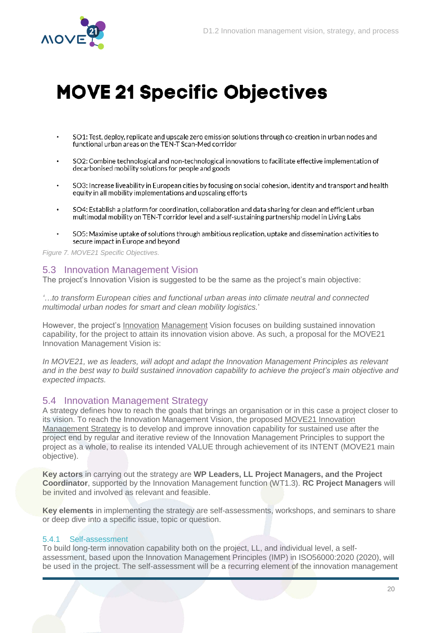

# **MOVE 21 Specific Objectives**

- SO1: Test, deploy, replicate and upscale zero emission solutions through co-creation in urban nodes and functional urban areas on the TEN-T Scan-Med corridor
- SO2: Combine technological and non-technological innovations to facilitate effective implementation of decarbonised mobility solutions for people and goods
- SO3: Increase liveability in European cities by focusing on social cohesion, identity and transport and health equity in all mobility implementations and upscaling efforts
- SO4: Establish a platform for coordination, collaboration and data sharing for clean and efficient urban multimodal mobility on TEN-T corridor level and a self-sustaining partnership model in Living Labs
- SO5: Maximise uptake of solutions through ambitious replication, uptake and dissemination activities to secure impact in Europe and beyond

<span id="page-20-2"></span>*Figure 7. MOVE21 Specific Objectives.*

### <span id="page-20-0"></span>5.3 Innovation Management Vision

The project's Innovation Vision is suggested to be the same as the project's main objective:

*'…to transform European cities and functional urban areas into climate neutral and connected multimodal urban nodes for smart and clean mobility logistics.*'

However, the project's Innovation Management Vision focuses on building sustained innovation capability, for the project to attain its innovation vision above. As such, a proposal for the MOVE21 Innovation Management Vision is:

*In MOVE21, we as leaders, will adopt and adapt the Innovation Management Principles as relevant and in the best way to build sustained innovation capability to achieve the project's main objective and expected impacts.* 

#### <span id="page-20-1"></span>5.4 Innovation Management Strategy

A strategy defines how to reach the goals that brings an organisation or in this case a project closer to its vision. To reach the Innovation Management Vision, the proposed MOVE21 Innovation Management Strategy is to develop and improve innovation capability for sustained use after the project end by regular and iterative review of the Innovation Management Principles to support the project as a whole, to realise its intended VALUE through achievement of its INTENT (MOVE21 main objective).

**Key actors** in carrying out the strategy are **WP Leaders, LL Project Managers, and the Project Coordinator**, supported by the Innovation Management function (WT1.3). **RC Project Managers** will be invited and involved as relevant and feasible.

**Key elements** in implementing the strategy are self-assessments, workshops, and seminars to share or deep dive into a specific issue, topic or question.

#### 5.4.1 Self-assessment

To build long-term innovation capability both on the project, LL, and individual level, a selfassessment, based upon the Innovation Management Principles (IMP) in ISO56000:2020 (2020), will be used in the project. The self-assessment will be a recurring element of the innovation management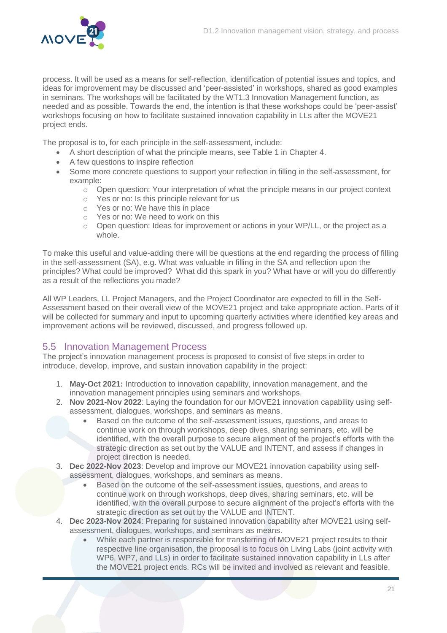

process. It will be used as a means for self-reflection, identification of potential issues and topics, and ideas for improvement may be discussed and 'peer-assisted' in workshops, shared as good examples in seminars. The workshops will be facilitated by the WT1.3 Innovation Management function, as needed and as possible. Towards the end, the intention is that these workshops could be 'peer-assist' workshops focusing on how to facilitate sustained innovation capability in LLs after the MOVE21 project ends.

The proposal is to, for each principle in the self-assessment, include:

- A short description of what the principle means, see [Table 1](#page-16-0) in Chapter [4.](#page-13-0)
- A few questions to inspire reflection
- Some more concrete questions to support your reflection in filling in the self-assessment, for example:
	- $\circ$  Open question: Your interpretation of what the principle means in our project context
	- o Yes or no: Is this principle relevant for us
	- o Yes or no: We have this in place
	- o Yes or no: We need to work on this
	- $\circ$  Open question: Ideas for improvement or actions in your WP/LL, or the project as a whole.

To make this useful and value-adding there will be questions at the end regarding the process of filling in the self-assessment (SA), e.g. What was valuable in filling in the SA and reflection upon the principles? What could be improved? What did this spark in you? What have or will you do differently as a result of the reflections you made?

All WP Leaders, LL Project Managers, and the Project Coordinator are expected to fill in the Self-Assessment based on their overall view of the MOVE21 project and take appropriate action. Parts of it will be collected for summary and input to upcoming quarterly activities where identified key areas and improvement actions will be reviewed, discussed, and progress followed up.

### <span id="page-21-0"></span>5.5 Innovation Management Process

The project's innovation management process is proposed to consist of five steps in order to introduce, develop, improve, and sustain innovation capability in the project:

- 1. **May-Oct 2021:** Introduction to innovation capability, innovation management, and the innovation management principles using seminars and workshops.
- 2. **Nov 2021-Nov 2022**: Laying the foundation for our MOVE21 innovation capability using selfassessment, dialogues, workshops, and seminars as means.
	- Based on the outcome of the self-assessment issues, questions, and areas to continue work on through workshops, deep dives, sharing seminars, etc. will be identified, with the overall purpose to secure alignment of the project's efforts with the strategic direction as set out by the VALUE and INTENT, and assess if changes in project direction is needed.
- 3. **Dec 2022-Nov 2023**: Develop and improve our MOVE21 innovation capability using selfassessment, dialogues, workshops, and seminars as means.
	- Based on the outcome of the self-assessment issues, questions, and areas to continue work on through workshops, deep dives, sharing seminars, etc. will be identified, with the overall purpose to secure alignment of the project's efforts with the strategic direction as set out by the VALUE and INTENT.
- 4. **Dec 2023-Nov 2024**: Preparing for sustained innovation capability after MOVE21 using selfassessment, dialogues, workshops, and seminars as means.
	- While each partner is responsible for transferring of MOVE21 project results to their respective line organisation, the proposal is to focus on Living Labs (joint activity with WP6, WP7, and LLs) in order to facilitate sustained innovation capability in LLs after the MOVE21 project ends. RCs will be invited and involved as relevant and feasible.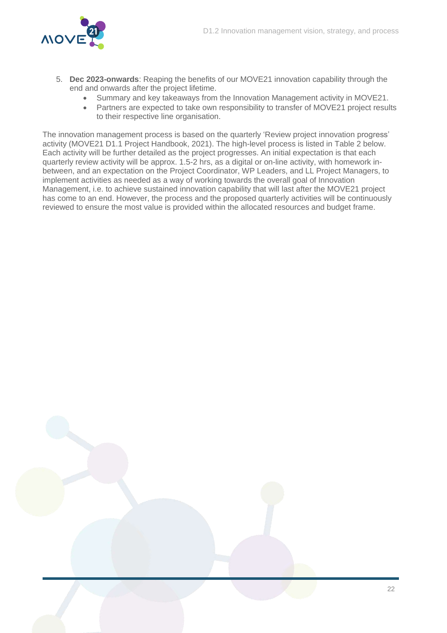

- 5. **Dec 2023-onwards**: Reaping the benefits of our MOVE21 innovation capability through the end and onwards after the project lifetime.
	- Summary and key takeaways from the Innovation Management activity in MOVE21.
	- Partners are expected to take own responsibility to transfer of MOVE21 project results to their respective line organisation.

The innovation management process is based on the quarterly 'Review project innovation progress' activity (MOVE21 D1.1 Project Handbook, 2021). The high-level process is listed in [Table 2](#page-23-0) below. Each activity will be further detailed as the project progresses. An initial expectation is that each quarterly review activity will be approx. 1.5-2 hrs, as a digital or on-line activity, with homework inbetween, and an expectation on the Project Coordinator, WP Leaders, and LL Project Managers, to implement activities as needed as a way of working towards the overall goal of Innovation Management, i.e. to achieve sustained innovation capability that will last after the MOVE21 project has come to an end. However, the process and the proposed quarterly activities will be continuously reviewed to ensure the most value is provided within the allocated resources and budget frame.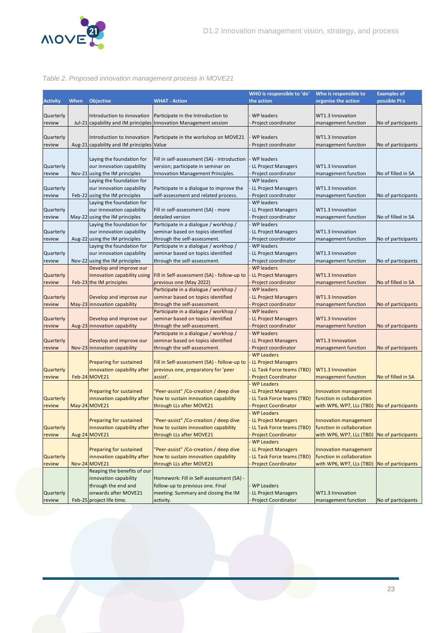

#### <span id="page-23-0"></span>*Table 2. Proposed innovation management process in MOVE21*

|                  |      |                                           |                                                                    | WHO is responsible to 'do' | Who is responsible to     | <b>Examples of</b> |
|------------------|------|-------------------------------------------|--------------------------------------------------------------------|----------------------------|---------------------------|--------------------|
| <b>Activity</b>  | When | <b>Objective</b>                          | <b>WHAT - Action</b>                                               | the action                 | organise the action       | possible PI:s      |
|                  |      |                                           |                                                                    |                            |                           |                    |
| <b>Quarterly</b> |      | Introduction to innovation                | Participate in the Introduction to                                 | <b>WP</b> leaders          | WT1.3 Innovation          |                    |
| review           |      |                                           | Jul-21 capability and IM principles Innovation Management session  | Project coordinator        | management function       | No of participants |
|                  |      |                                           |                                                                    |                            |                           |                    |
| <b>Quarterly</b> |      | Introduction to innovation                | Participate in the workshop on MOVE21                              | WP leaders                 | WT1.3 Innovation          |                    |
| review           |      | Aug-21 capability and IM principles Value |                                                                    | Project coordinator        | management function       | No of participants |
|                  |      |                                           |                                                                    |                            |                           |                    |
|                  |      | Laying the foundation for                 | Fill in self-assessment (SA) - introduction                        | <b>WP</b> leaders          |                           |                    |
| Quarterly        |      | our innovation capability                 | version; participate in seminar on                                 | LL Project Managers        | WT1.3 Innovation          |                    |
| review           |      | Nov-21 using the IM principles            | Innovation Management Principles.                                  | Project coordinator        | management function       | No of filled in SA |
|                  |      | Laying the foundation for                 |                                                                    | <b>WP</b> leaders          |                           |                    |
| Quarterly        |      | our innovation capability                 | Participate in a dialogue to improve the                           | LL Project Managers        | WT1.3 Innovation          |                    |
| review           |      | Feb-22 using the IM principles            | self-assessment and related process.                               | Project coordinator        | management function       | No of participants |
|                  |      | Laying the foundation for                 |                                                                    | WP leaders                 |                           |                    |
| <b>Quarterly</b> |      | our innovation capability                 | Fill in self-assessment (SA) - more                                | LL Project Managers        | WT1.3 Innovation          |                    |
| review           |      | May-22 using the IM principles            | detailed version                                                   | Project coordinator        | management function       | No of filled in SA |
|                  |      | Laying the foundation for                 | Participate in a dialogue / workhop /                              | WP leaders                 |                           |                    |
| <b>Quarterly</b> |      | our innovation capability                 | seminar based on topics identified                                 | LL Project Managers        | WT1.3 Innovation          |                    |
| review           |      | Aug-22 using the IM principles            | through the self-assessment.                                       | Project coordinator        | management function       | No of participants |
|                  |      | Laying the foundation for                 | Participate in a dialogue / workhop /                              | <b>WP</b> leaders          |                           |                    |
| Quarterly        |      | our innovation capability                 | seminar based on topics identified                                 | LL Project Managers        | WT1.3 Innovation          |                    |
| review           |      | Nov-22 using the IM principles            | through the self-assessment.                                       | Project coordinator        | management function       | No of participants |
|                  |      | Develop and improve our                   |                                                                    | <b>WP</b> leaders          |                           |                    |
| Quarterly        |      | innovation capability using               | Fill in Self-assessment (SA) - follow-up to                        | <b>LL Project Managers</b> | <b>WT1.3 Innovation</b>   |                    |
| review           |      | Feb-23 the IM principles                  | previous one (May 2022)                                            | Project coordinator        | management function       | No of filled in SA |
|                  |      |                                           | Participate in a dialogue / workhop /                              | <b>WP</b> leaders          |                           |                    |
| Quarterly        |      | Develop and improve our                   | seminar based on topics identified                                 | LL Project Managers        | <b>WT1.3 Innovation</b>   |                    |
| review           |      | May-23 innovation capability              | through the self-assessment.                                       | Project coordinator        | management function       | No of participants |
|                  |      |                                           | Participate in a dialogue / workhop /                              | <b>WP</b> leaders          |                           |                    |
| Quarterly        |      | Develop and improve our                   | seminar based on topics identified                                 | LL Project Managers        | <b>WT1.3 Innovation</b>   |                    |
| review           |      | Aug-23 innovation capability              | through the self-assessment.                                       | Project coordinator        | management function       | No of participants |
|                  |      |                                           | Participate in a dialogue / workhop /                              | <b>WP</b> leaders          |                           |                    |
| Quarterly        |      | Develop and improve our                   | seminar based on topics identified                                 | LL Project Managers        | <b>WT1.3 Innovation</b>   |                    |
| review           |      | Nov-23 innovation capability              | through the self-assessment.                                       | Project coordinator        | management function       | No of participants |
|                  |      |                                           |                                                                    | <b>WP Leaders</b>          |                           |                    |
|                  |      | Preparing for sustained                   | Fill in Self-assessment (SA) - follow-up to                        | <b>LL Project Managers</b> |                           |                    |
| <b>Quarterly</b> |      | innovation capability after               | previous one, preparatory for 'peer                                | LL Task Force teams (TBD)  | <b>WT1.3 Innovation</b>   |                    |
| review           |      | Feb-24 MOVE21                             | assist'.                                                           | <b>Project Coordinator</b> | management function       | No of filled in SA |
|                  |      |                                           |                                                                    | <b>WP Leaders</b>          |                           |                    |
|                  |      | <b>Preparing for sustained</b>            | 'Peer-assist" / Co-creation / deep dive                            | <b>LL Project Managers</b> | Innovation management     |                    |
| <b>Quarterly</b> |      | innovation capability after               | how to sustain innovation capability                               | LL Task Force teams (TBD)  | function in collaboration |                    |
| review           |      | May-24 MOVE21                             | through LLs after MOVE21                                           | <b>Project Coordinator</b> | with WP6, WP7, LLs (TBD)  | No of participants |
|                  |      |                                           |                                                                    | <b>WP Leaders</b>          |                           |                    |
|                  |      | <b>Preparing for sustained</b>            | 'Peer-assist" / Co-creation / deep dive                            | <b>LL Project Managers</b> | Innovation management     |                    |
| Quarterly        |      |                                           | innovation capability after   how to sustain innovation capability | LL Task Force teams (TBD)  | tunction in collaboration |                    |
| review           |      | Aug-24 MOVE21                             | through LLs after MOVE21                                           | <b>Project Coordinator</b> | with WP6, WP7, LLs (TBD)  | No of participants |
|                  |      |                                           |                                                                    | <b>WP Leaders</b>          |                           |                    |
|                  |      | <b>Preparing for sustained</b>            | 'Peer-assist" / Co-creation / deep dive                            | <b>LL Project Managers</b> | Innovation management     |                    |
| Quarterly        |      | innovation capability after               | how to sustain innovation capability                               | LL Task Force teams (TBD)  | function in collaboration |                    |
| review           |      | Nov-24 MOVE21                             | through LLs after MOVE21                                           | <b>Project Coordinator</b> | with WP6, WP7, LLs (TBD)  | No of participants |
|                  |      | Reaping the benefits of our               |                                                                    |                            |                           |                    |
|                  |      | innovation capability                     | Homework: Fill in Self-assessment (SA) -                           |                            |                           |                    |
|                  |      | through the end and                       | follow-up to previous one. Final                                   | <b>WP Leaders</b>          |                           |                    |
| Quarterly        |      | onwards after MOVE21                      | meeting: Summary and closing the IM                                | LL Project Managers        | WT1.3 Innovation          |                    |
| review           |      | Feb-25 project life time.                 | activity.                                                          | <b>Project Coordinator</b> | management function       | No of participants |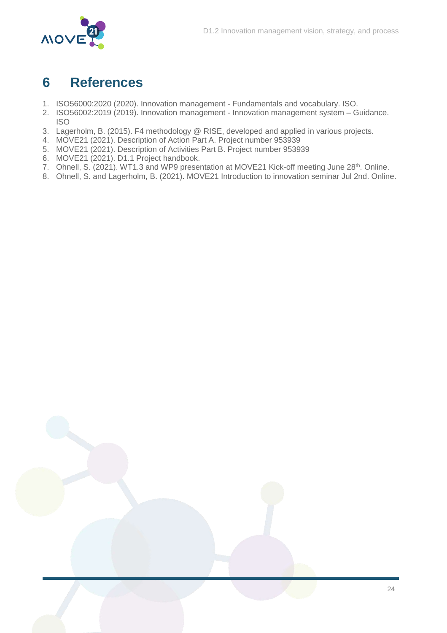

### <span id="page-24-0"></span>**6 References**

- 1. ISO56000:2020 (2020). Innovation management Fundamentals and vocabulary. ISO.
- 2. ISO56002:2019 (2019). Innovation management Innovation management system Guidance. ISO
- 3. Lagerholm, B. (2015). F4 methodology @ RISE, developed and applied in various projects.
- 4. MOVE21 (2021). Description of Action Part A. Project number 953939
- 5. MOVE21 (2021). Description of Activities Part B. Project number 953939
- 6. MOVE21 (2021). D1.1 Project handbook.
- 7. Ohnell, S. (2021). WT1.3 and WP9 presentation at MOVE21 Kick-off meeting June 28<sup>th</sup>. Online.
- 8. Ohnell, S. and Lagerholm, B. (2021). MOVE21 Introduction to innovation seminar Jul 2nd. Online.